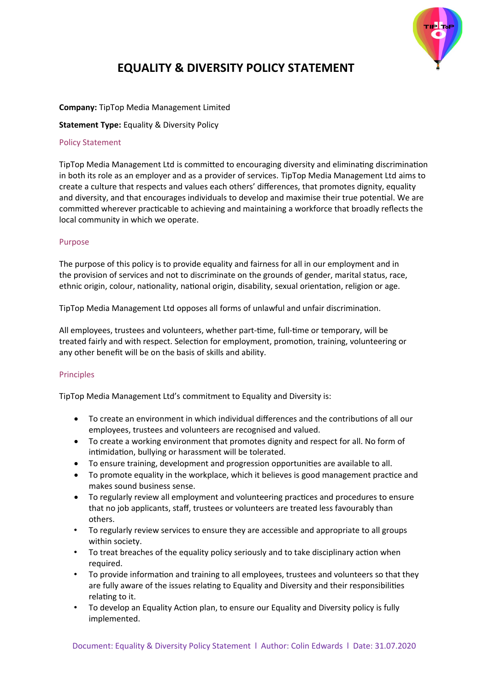

# **EQUALITY & DIVERSITY POLICY STATEMENT**

# **Company:** TipTop Media Management Limited

**Statement Type:** Equality & Diversity Policy

## Policy Statement

TipTop Media Management Ltd is committed to encouraging diversity and eliminating discrimination in both its role as an employer and as a provider of services. TipTop Media Management Ltd aims to create a culture that respects and values each others' differences, that promotes dignity, equality and diversity, and that encourages individuals to develop and maximise their true potential. We are committed wherever practicable to achieving and maintaining a workforce that broadly reflects the local community in which we operate.

# Purpose

The purpose of this policy is to provide equality and fairness for all in our employment and in the provision of services and not to discriminate on the grounds of gender, marital status, race, ethnic origin, colour, nationality, national origin, disability, sexual orientation, religion or age.

TipTop Media Management Ltd opposes all forms of unlawful and unfair discrimination.

All employees, trustees and volunteers, whether part-time, full-time or temporary, will be treated fairly and with respect. Selection for employment, promotion, training, volunteering or any other benefit will be on the basis of skills and ability.

# Principles

TipTop Media Management Ltd's commitment to Equality and Diversity is:

- To create an environment in which individual differences and the contributions of all our employees, trustees and volunteers are recognised and valued.
- To create a working environment that promotes dignity and respect for all. No form of intimidation, bullying or harassment will be tolerated.
- To ensure training, development and progression opportunities are available to all.
- To promote equality in the workplace, which it believes is good management practice and makes sound business sense.
- To regularly review all employment and volunteering practices and procedures to ensure that no job applicants, staff, trustees or volunteers are treated less favourably than others.
- To regularly review services to ensure they are accessible and appropriate to all groups within society.
- To treat breaches of the equality policy seriously and to take disciplinary action when required.
- To provide information and training to all employees, trustees and volunteers so that they are fully aware of the issues relating to Equality and Diversity and their responsibilities relating to it.
- To develop an Equality Action plan, to ensure our Equality and Diversity policy is fully implemented.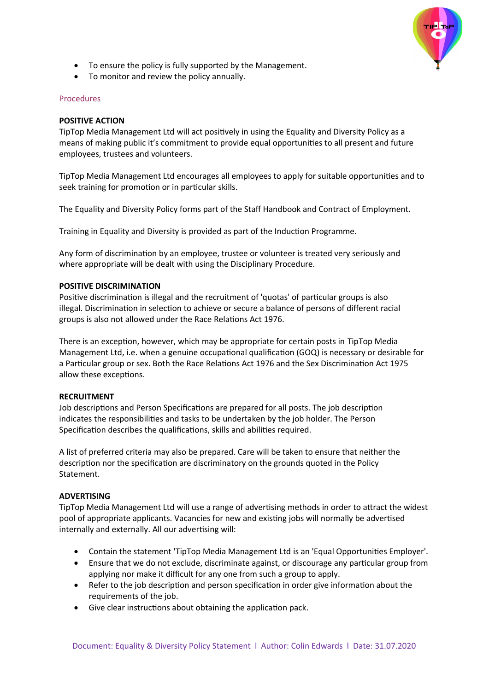

- To ensure the policy is fully supported by the Management.
- To monitor and review the policy annually.

## Procedures

## **POSITIVE ACTION**

TipTop Media Management Ltd will act positively in using the Equality and Diversity Policy as a means of making public it's commitment to provide equal opportunities to all present and future employees, trustees and volunteers.

TipTop Media Management Ltd encourages all employees to apply for suitable opportunities and to seek training for promotion or in particular skills.

The Equality and Diversity Policy forms part of the Staff Handbook and Contract of Employment.

Training in Equality and Diversity is provided as part of the Induction Programme.

Any form of discrimination by an employee, trustee or volunteer is treated very seriously and where appropriate will be dealt with using the Disciplinary Procedure.

#### **POSITIVE DISCRIMINATION**

Positive discrimination is illegal and the recruitment of 'quotas' of particular groups is also illegal. Discrimination in selection to achieve or secure a balance of persons of different racial groups is also not allowed under the Race Relations Act 1976.

There is an exception, however, which may be appropriate for certain posts in TipTop Media Management Ltd, i.e. when a genuine occupational qualification (GOQ) is necessary or desirable for a Particular group or sex. Both the Race Relations Act 1976 and the Sex Discrimination Act 1975 allow these exceptions.

## **RECRUITMENT**

Job descriptions and Person Specifications are prepared for all posts. The job description indicates the responsibilities and tasks to be undertaken by the job holder. The Person Specification describes the qualifications, skills and abilities required.

A list of preferred criteria may also be prepared. Care will be taken to ensure that neither the description nor the specification are discriminatory on the grounds quoted in the Policy Statement.

## **ADVERTISING**

TipTop Media Management Ltd will use a range of advertising methods in order to attract the widest pool of appropriate applicants. Vacancies for new and existing jobs will normally be advertised internally and externally. All our advertising will:

- Contain the statement 'TipTop Media Management Ltd is an 'Equal Opportunities Employer'.
- Ensure that we do not exclude, discriminate against, or discourage any particular group from applying nor make it difficult for any one from such a group to apply.
- Refer to the job description and person specification in order give information about the requirements of the job.
- Give clear instructions about obtaining the application pack.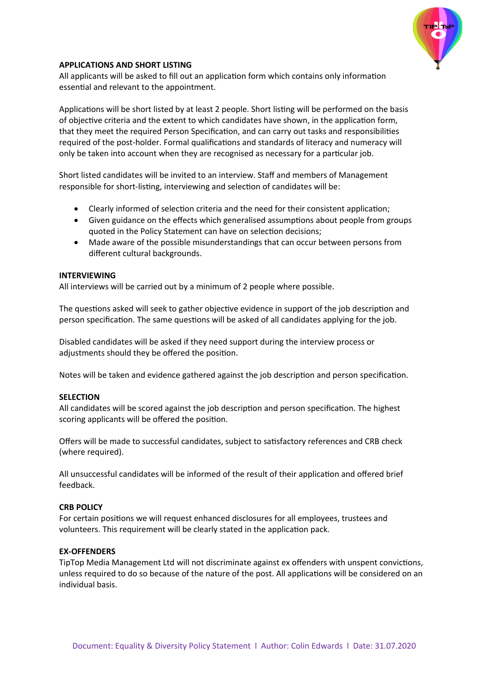

## **APPLICATIONS AND SHORT LISTING**

All applicants will be asked to fill out an application form which contains only information essential and relevant to the appointment.

Applications will be short listed by at least 2 people. Short listing will be performed on the basis of objective criteria and the extent to which candidates have shown, in the application form, that they meet the required Person Specification, and can carry out tasks and responsibilities required of the post-holder. Formal qualifications and standards of literacy and numeracy will only be taken into account when they are recognised as necessary for a particular job.

Short listed candidates will be invited to an interview. Staff and members of Management responsible for short-listing, interviewing and selection of candidates will be:

- Clearly informed of selection criteria and the need for their consistent application;
- Given guidance on the effects which generalised assumptions about people from groups quoted in the Policy Statement can have on selection decisions;
- Made aware of the possible misunderstandings that can occur between persons from different cultural backgrounds.

#### **INTERVIEWING**

All interviews will be carried out by a minimum of 2 people where possible.

The questions asked will seek to gather objective evidence in support of the job description and person specification. The same questions will be asked of all candidates applying for the job.

Disabled candidates will be asked if they need support during the interview process or adjustments should they be offered the position.

Notes will be taken and evidence gathered against the job description and person specification.

## **SELECTION**

All candidates will be scored against the job description and person specification. The highest scoring applicants will be offered the position.

Offers will be made to successful candidates, subject to satisfactory references and CRB check (where required).

All unsuccessful candidates will be informed of the result of their application and offered brief feedback.

#### **CRB POLICY**

For certain positions we will request enhanced disclosures for all employees, trustees and volunteers. This requirement will be clearly stated in the application pack.

#### **EX-OFFENDERS**

TipTop Media Management Ltd will not discriminate against ex offenders with unspent convictions, unless required to do so because of the nature of the post. All applications will be considered on an individual basis.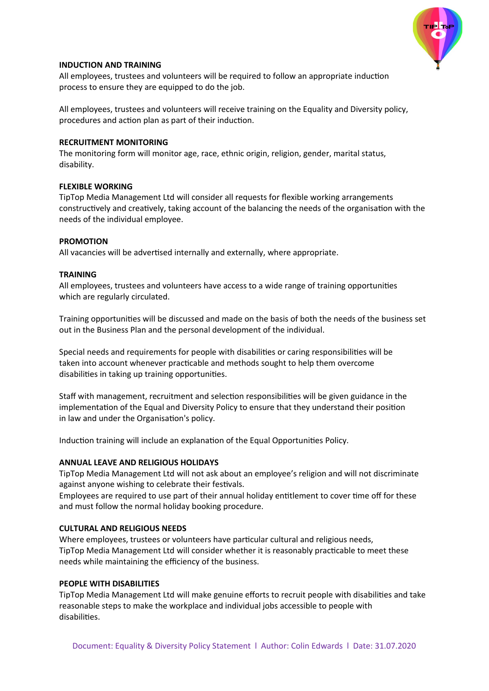

## **INDUCTION AND TRAINING**

All employees, trustees and volunteers will be required to follow an appropriate induction process to ensure they are equipped to do the job.

All employees, trustees and volunteers will receive training on the Equality and Diversity policy, procedures and action plan as part of their induction.

## **RECRUITMENT MONITORING**

The monitoring form will monitor age, race, ethnic origin, religion, gender, marital status, disability.

# **FLEXIBLE WORKING**

TipTop Media Management Ltd will consider all requests for flexible working arrangements constructively and creatively, taking account of the balancing the needs of the organisation with the needs of the individual employee.

# **PROMOTION**

All vacancies will be advertised internally and externally, where appropriate.

# **TRAINING**

All employees, trustees and volunteers have access to a wide range of training opportunities which are regularly circulated.

Training opportunities will be discussed and made on the basis of both the needs of the business set out in the Business Plan and the personal development of the individual.

Special needs and requirements for people with disabilities or caring responsibilities will be taken into account whenever practicable and methods sought to help them overcome disabilities in taking up training opportunities.

Staff with management, recruitment and selection responsibilities will be given guidance in the implementation of the Equal and Diversity Policy to ensure that they understand their position in law and under the Organisation's policy.

Induction training will include an explanation of the Equal Opportunities Policy.

# **ANNUAL LEAVE AND RELIGIOUS HOLIDAYS**

TipTop Media Management Ltd will not ask about an employee's religion and will not discriminate against anyone wishing to celebrate their festivals.

Employees are required to use part of their annual holiday entitlement to cover time off for these and must follow the normal holiday booking procedure.

## **CULTURAL AND RELIGIOUS NEEDS**

Where employees, trustees or volunteers have particular cultural and religious needs, TipTop Media Management Ltd will consider whether it is reasonably practicable to meet these needs while maintaining the efficiency of the business.

## **PEOPLE WITH DISABILITIES**

TipTop Media Management Ltd will make genuine efforts to recruit people with disabilities and take reasonable steps to make the workplace and individual jobs accessible to people with disabilities.